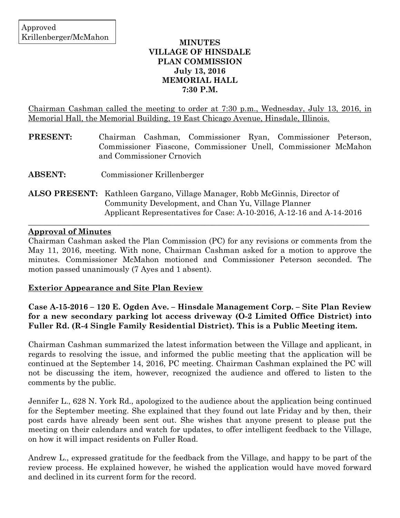## **MINUTES VILLAGE OF HINSDALE PLAN COMMISSION July 13, 2016 MEMORIAL HALL 7:30 P.M.**

Chairman Cashman called the meeting to order at 7:30 p.m., Wednesday, July 13, 2016, in Memorial Hall, the Memorial Building, 19 East Chicago Avenue, Hinsdale, Illinois.

| <b>PRESENT:</b> | Chairman Cashman, Commissioner Ryan, Commissioner Peterson,<br>Commissioner Fiascone, Commissioner Unell, Commissioner McMahon<br>and Commissioner Crnovich |
|-----------------|-------------------------------------------------------------------------------------------------------------------------------------------------------------|
| <b>ABSENT:</b>  | Commissioner Krillenberger                                                                                                                                  |
|                 | <b>ALSO PRESENT:</b> Kathleen Gargano, Village Manager, Robb McGinnis, Director of<br>Community Development, and Chan Yu, Village Planner                   |

## **Approval of Minutes**

Chairman Cashman asked the Plan Commission (PC) for any revisions or comments from the May 11, 2016, meeting. With none, Chairman Cashman asked for a motion to approve the minutes. Commissioner McMahon motioned and Commissioner Peterson seconded. The motion passed unanimously (7 Ayes and 1 absent).

 $\_$  , and the set of the set of the set of the set of the set of the set of the set of the set of the set of the set of the set of the set of the set of the set of the set of the set of the set of the set of the set of th

Applicant Representatives for Case: A-10-2016, A-12-16 and A-14-2016

### **Exterior Appearance and Site Plan Review**

# **Case A-15-2016 – 120 E. Ogden Ave. – Hinsdale Management Corp. – Site Plan Review for a new secondary parking lot access driveway (O-2 Limited Office District) into Fuller Rd. (R-4 Single Family Residential District). This is a Public Meeting item.**

Chairman Cashman summarized the latest information between the Village and applicant, in regards to resolving the issue, and informed the public meeting that the application will be continued at the September 14, 2016, PC meeting. Chairman Cashman explained the PC will not be discussing the item, however, recognized the audience and offered to listen to the comments by the public.

Jennifer L., 628 N. York Rd., apologized to the audience about the application being continued for the September meeting. She explained that they found out late Friday and by then, their post cards have already been sent out. She wishes that anyone present to please put the meeting on their calendars and watch for updates, to offer intelligent feedback to the Village, on how it will impact residents on Fuller Road.

Andrew L., expressed gratitude for the feedback from the Village, and happy to be part of the review process. He explained however, he wished the application would have moved forward and declined in its current form for the record.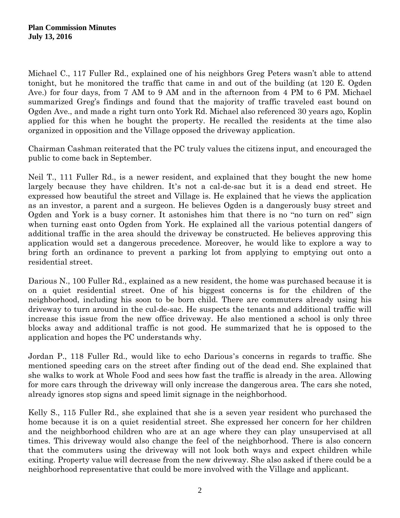Michael C., 117 Fuller Rd., explained one of his neighbors Greg Peters wasn't able to attend tonight, but he monitored the traffic that came in and out of the building (at 120 E. Ogden Ave.) for four days, from 7 AM to 9 AM and in the afternoon from 4 PM to 6 PM. Michael summarized Greg's findings and found that the majority of traffic traveled east bound on Ogden Ave., and made a right turn onto York Rd. Michael also referenced 30 years ago, Koplin applied for this when he bought the property. He recalled the residents at the time also organized in opposition and the Village opposed the driveway application.

Chairman Cashman reiterated that the PC truly values the citizens input, and encouraged the public to come back in September.

Neil T., 111 Fuller Rd., is a newer resident, and explained that they bought the new home largely because they have children. It's not a cal-de-sac but it is a dead end street. He expressed how beautiful the street and Village is. He explained that he views the application as an investor, a parent and a surgeon. He believes Ogden is a dangerously busy street and Ogden and York is a busy corner. It astonishes him that there is no "no turn on red" sign when turning east onto Ogden from York. He explained all the various potential dangers of additional traffic in the area should the driveway be constructed. He believes approving this application would set a dangerous precedence. Moreover, he would like to explore a way to bring forth an ordinance to prevent a parking lot from applying to emptying out onto a residential street.

Darious N., 100 Fuller Rd., explained as a new resident, the home was purchased because it is on a quiet residential street. One of his biggest concerns is for the children of the neighborhood, including his soon to be born child. There are commuters already using his driveway to turn around in the [cul-de-sac.](https://www.bing.com/search?q=culdesac&FORM=AWRE) He suspects the tenants and additional traffic will increase this issue from the new office driveway. He also mentioned a school is only three blocks away and additional traffic is not good. He summarized that he is opposed to the application and hopes the PC understands why.

Jordan P., 118 Fuller Rd., would like to echo Darious's concerns in regards to traffic. She mentioned speeding cars on the street after finding out of the dead end. She explained that she walks to work at Whole Food and sees how fast the traffic is already in the area. Allowing for more cars through the driveway will only increase the dangerous area. The cars she noted, already ignores stop signs and speed limit signage in the neighborhood.

Kelly S., 115 Fuller Rd., she explained that she is a seven year resident who purchased the home because it is on a quiet residential street. She expressed her concern for her children and the neighborhood children who are at an age where they can play unsupervised at all times. This driveway would also change the feel of the neighborhood. There is also concern that the commuters using the driveway will not look both ways and expect children while exiting. Property value will decrease from the new driveway. She also asked if there could be a neighborhood representative that could be more involved with the Village and applicant.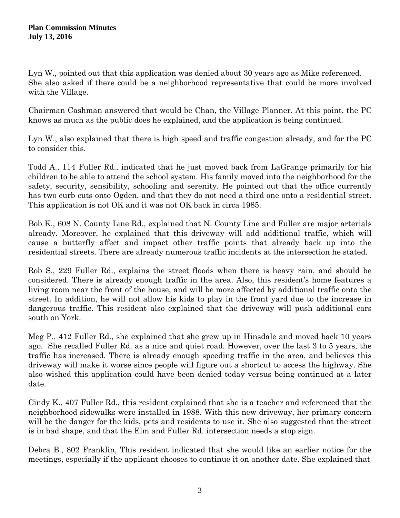Lyn W., pointed out that this application was denied about 30 years ago as Mike referenced. She also asked if there could be a neighborhood representative that could be more involved with the Village.

Chairman Cashman answered that would be Chan, the Village Planner. At this point, the PC knows as much as the public does he explained, and the application is being continued.

Lyn W., also explained that there is high speed and traffic congestion already, and for the PC to consider this.

Todd A., 114 Fuller Rd., indicated that he just moved back from LaGrange primarily for his children to be able to attend the school system. His family moved into the neighborhood for the safety, security, sensibility, schooling and serenity. He pointed out that the office currently has two curb cuts onto Ogden, and that they do not need a third one onto a residential street. This application is not OK and it was not OK back in circa 1985.

Bob K., 608 N. County Line Rd., explained that N. County Line and Fuller are major arterials already. Moreover, he explained that this driveway will add additional traffic, which will cause a butterfly affect and impact other traffic points that already back up into the residential streets. There are already numerous traffic incidents at the intersection he stated.

Rob S., 229 Fuller Rd., explains the street floods when there is heavy rain, and should be considered. There is already enough traffic in the area. Also, this resident's home features a living room near the front of the house, and will be more affected by additional traffic onto the street. In addition, he will not allow his kids to play in the front yard due to the increase in dangerous traffic. This resident also explained that the driveway will push additional cars south on York.

Meg P., 412 Fuller Rd., she explained that she grew up in Hinsdale and moved back 10 years ago. She recalled Fuller Rd. as a nice and quiet road. However, over the last 3 to 5 years, the traffic has increased. There is already enough speeding traffic in the area, and believes this driveway will make it worse since people will figure out a shortcut to access the highway. She also wished this application could have been denied today versus being continued at a later date.

Cindy K., 407 Fuller Rd., this resident explained that she is a teacher and referenced that the neighborhood sidewalks were installed in 1988. With this new driveway, her primary concern will be the danger for the kids, pets and residents to use it. She also suggested that the street is in bad shape, and that the Elm and Fuller Rd. intersection needs a stop sign.

Debra B., 802 Franklin, This resident indicated that she would like an earlier notice for the meetings, especially if the applicant chooses to continue it on another date. She explained that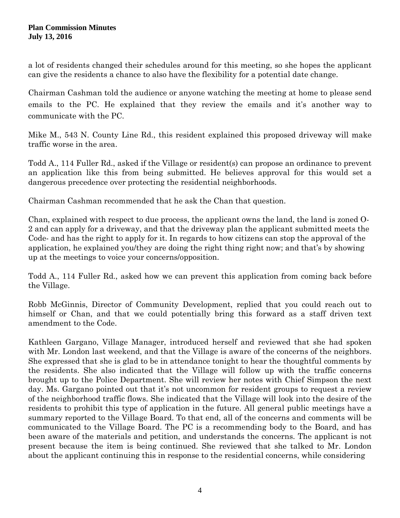a lot of residents changed their schedules around for this meeting, so she hopes the applicant can give the residents a chance to also have the flexibility for a potential date change.

Chairman Cashman told the audience or anyone watching the meeting at home to please send emails to the PC. He explained that they review the emails and it's another way to communicate with the PC.

Mike M., 543 N. County Line Rd., this resident explained this proposed driveway will make traffic worse in the area.

Todd A., 114 Fuller Rd., asked if the Village or resident(s) can propose an ordinance to prevent an application like this from being submitted. He believes approval for this would set a dangerous precedence over protecting the residential neighborhoods.

Chairman Cashman recommended that he ask the Chan that question.

Chan, explained with respect to due process, the applicant owns the land, the land is zoned O-2 and can apply for a driveway, and that the driveway plan the applicant submitted meets the Code- and has the right to apply for it. In regards to how citizens can stop the approval of the application, he explained you/they are doing the right thing right now; and that's by showing up at the meetings to voice your concerns/opposition.

Todd A., 114 Fuller Rd., asked how we can prevent this application from coming back before the Village.

Robb McGinnis, Director of Community Development, replied that you could reach out to himself or Chan, and that we could potentially bring this forward as a staff driven text amendment to the Code.

Kathleen Gargano, Village Manager, introduced herself and reviewed that she had spoken with Mr. London last weekend, and that the Village is aware of the concerns of the neighbors. She expressed that she is glad to be in attendance tonight to hear the thoughtful comments by the residents. She also indicated that the Village will follow up with the traffic concerns brought up to the Police Department. She will review her notes with Chief Simpson the next day. Ms. Gargano pointed out that it's not uncommon for resident groups to request a review of the neighborhood traffic flows. She indicated that the Village will look into the desire of the residents to prohibit this type of application in the future. All general public meetings have a summary reported to the Village Board. To that end, all of the concerns and comments will be communicated to the Village Board. The PC is a recommending body to the Board, and has been aware of the materials and petition, and understands the concerns. The applicant is not present because the item is being continued. She reviewed that she talked to Mr. London about the applicant continuing this in response to the residential concerns, while considering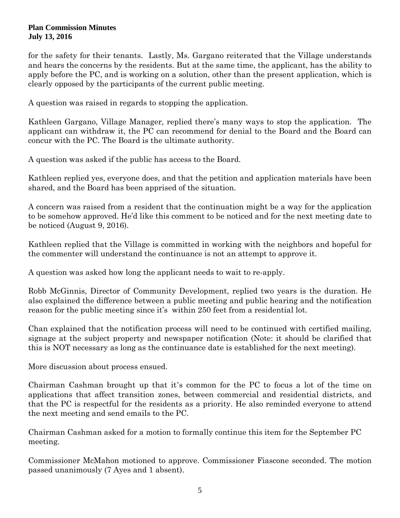for the safety for their tenants. Lastly, Ms. Gargano reiterated that the Village understands and hears the concerns by the residents. But at the same time, the applicant, has the ability to apply before the PC, and is working on a solution, other than the present application, which is clearly opposed by the participants of the current public meeting.

A question was raised in regards to stopping the application.

Kathleen Gargano, Village Manager, replied there's many ways to stop the application. The applicant can withdraw it, the PC can recommend for denial to the Board and the Board can concur with the PC. The Board is the ultimate authority.

A question was asked if the public has access to the Board.

Kathleen replied yes, everyone does, and that the petition and application materials have been shared, and the Board has been apprised of the situation.

A concern was raised from a resident that the continuation might be a way for the application to be somehow approved. He'd like this comment to be noticed and for the next meeting date to be noticed (August 9, 2016).

Kathleen replied that the Village is committed in working with the neighbors and hopeful for the commenter will understand the continuance is not an attempt to approve it.

A question was asked how long the applicant needs to wait to re-apply.

Robb McGinnis, Director of Community Development, replied two years is the duration. He also explained the difference between a public meeting and public hearing and the notification reason for the public meeting since it's within 250 feet from a residential lot.

Chan explained that the notification process will need to be continued with certified mailing, signage at the subject property and newspaper notification (Note: it should be clarified that this is NOT necessary as long as the continuance date is established for the next meeting).

More discussion about process ensued.

Chairman Cashman brought up that it's common for the PC to focus a lot of the time on applications that affect transition zones, between commercial and residential districts, and that the PC is respectful for the residents as a priority. He also reminded everyone to attend the next meeting and send emails to the PC.

Chairman Cashman asked for a motion to formally continue this item for the September PC meeting.

Commissioner McMahon motioned to approve. Commissioner Fiascone seconded. The motion passed unanimously (7 Ayes and 1 absent).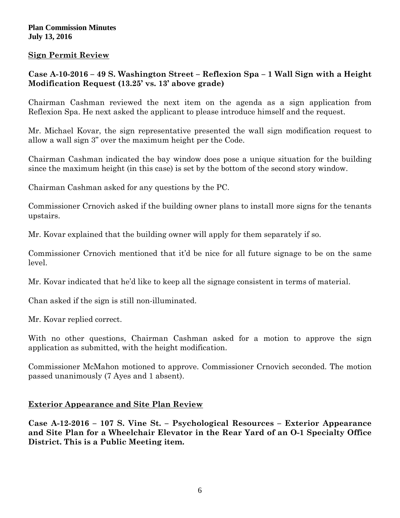## **Sign Permit Review**

# **Case A-10-2016 – 49 S. Washington Street – Reflexion Spa – 1 Wall Sign with a Height Modification Request (13.25' vs. 13' above grade)**

Chairman Cashman reviewed the next item on the agenda as a sign application from Reflexion Spa. He next asked the applicant to please introduce himself and the request.

Mr. Michael Kovar, the sign representative presented the wall sign modification request to allow a wall sign 3" over the maximum height per the Code.

Chairman Cashman indicated the bay window does pose a unique situation for the building since the maximum height (in this case) is set by the bottom of the second story window.

Chairman Cashman asked for any questions by the PC.

Commissioner Crnovich asked if the building owner plans to install more signs for the tenants upstairs.

Mr. Kovar explained that the building owner will apply for them separately if so.

Commissioner Crnovich mentioned that it'd be nice for all future signage to be on the same level.

Mr. Kovar indicated that he'd like to keep all the signage consistent in terms of material.

Chan asked if the sign is still non-illuminated.

Mr. Kovar replied correct.

With no other questions, Chairman Cashman asked for a motion to approve the sign application as submitted, with the height modification.

Commissioner McMahon motioned to approve. Commissioner Crnovich seconded. The motion passed unanimously (7 Ayes and 1 absent).

### **Exterior Appearance and Site Plan Review**

**Case A-12-2016 – 107 S. Vine St. – Psychological Resources – Exterior Appearance and Site Plan for a Wheelchair Elevator in the Rear Yard of an O-1 Specialty Office District. This is a Public Meeting item.**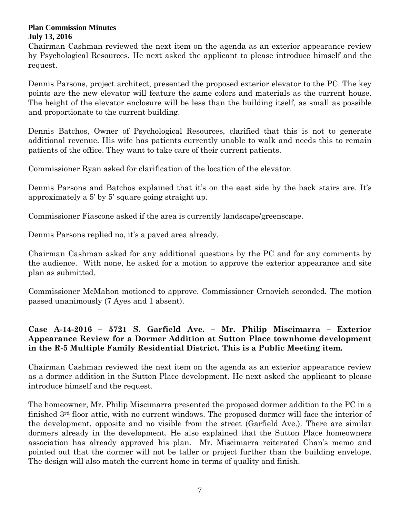Chairman Cashman reviewed the next item on the agenda as an exterior appearance review by Psychological Resources. He next asked the applicant to please introduce himself and the request.

Dennis Parsons, project architect, presented the proposed exterior elevator to the PC. The key points are the new elevator will feature the same colors and materials as the current house. The height of the elevator enclosure will be less than the building itself, as small as possible and proportionate to the current building.

Dennis Batchos, Owner of Psychological Resources, clarified that this is not to generate additional revenue. His wife has patients currently unable to walk and needs this to remain patients of the office. They want to take care of their current patients.

Commissioner Ryan asked for clarification of the location of the elevator.

Dennis Parsons and Batchos explained that it's on the east side by the back stairs are. It's approximately a 5' by 5' square going straight up.

Commissioner Fiascone asked if the area is currently landscape/greenscape.

Dennis Parsons replied no, it's a paved area already.

Chairman Cashman asked for any additional questions by the PC and for any comments by the audience. With none, he asked for a motion to approve the exterior appearance and site plan as submitted.

Commissioner McMahon motioned to approve. Commissioner Crnovich seconded. The motion passed unanimously (7 Ayes and 1 absent).

# **Case A-14-2016 – 5721 S. Garfield Ave. – Mr. Philip Miscimarra – Exterior Appearance Review for a Dormer Addition at Sutton Place townhome development in the R-5 Multiple Family Residential District. This is a Public Meeting item.**

Chairman Cashman reviewed the next item on the agenda as an exterior appearance review as a dormer addition in the Sutton Place development. He next asked the applicant to please introduce himself and the request.

The homeowner, Mr. Philip Miscimarra presented the proposed dormer addition to the PC in a finished 3rd floor attic, with no current windows. The proposed dormer will face the interior of the development, opposite and no visible from the street (Garfield Ave.). There are similar dormers already in the development. He also explained that the Sutton Place homeowners association has already approved his plan. Mr. Miscimarra reiterated Chan's memo and pointed out that the dormer will not be taller or project further than the building envelope. The design will also match the current home in terms of quality and finish.